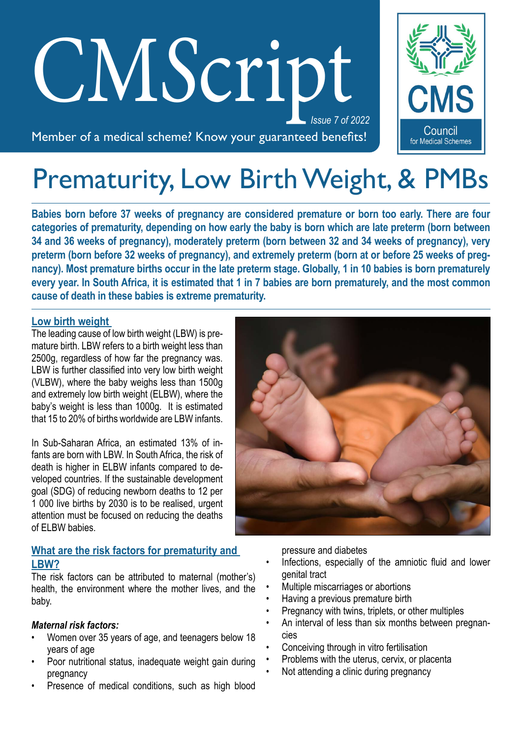# *Issue 7 of 2022* CM*S*cript

Member of a medical scheme? Know your guaranteed benefits!

Council for Medical Schemes

# Prematurity, Low Birth Weight, & PMBs

**Babies born before 37 weeks of pregnancy are considered premature or born too early. There are four categories of prematurity, depending on how early the baby is born which are late preterm (born between 34 and 36 weeks of pregnancy), moderately preterm (born between 32 and 34 weeks of pregnancy), very preterm (born before 32 weeks of pregnancy), and extremely preterm (born at or before 25 weeks of pregnancy). Most premature births occur in the late preterm stage. Globally, 1 in 10 babies is born prematurely every year. In South Africa, it is estimated that 1 in 7 babies are born prematurely, and the most common cause of death in these babies is extreme prematurity.** 

#### **Low birth weight**

The leading cause of low birth weight (LBW) is premature birth. LBW refers to a birth weight less than 2500g, regardless of how far the pregnancy was. LBW is further classified into very low birth weight (VLBW), where the baby weighs less than 1500g and extremely low birth weight (ELBW), where the baby's weight is less than 1000g. It is estimated that 15 to 20% of births worldwide are LBW infants.

In Sub-Saharan Africa, an estimated 13% of infants are born with LBW. In South Africa, the risk of death is higher in ELBW infants compared to developed countries. If the sustainable development goal (SDG) of reducing newborn deaths to 12 per 1 000 live births by 2030 is to be realised, urgent attention must be focused on reducing the deaths of ELBW babies.

#### **What are the risk factors for prematurity and LBW?**

The risk factors can be attributed to maternal (mother's) health, the environment where the mother lives, and the baby.

#### *Maternal risk factors:*

- Women over 35 years of age, and teenagers below 18 years of age
- Poor nutritional status, inadequate weight gain during pregnancy
- Presence of medical conditions, such as high blood

pressure and diabetes

- Infections, especially of the amniotic fluid and lower genital tract
- Multiple miscarriages or abortions
- Having a previous premature birth
- Pregnancy with twins, triplets, or other multiples
- An interval of less than six months between pregnancies
- Conceiving through in vitro fertilisation
- Problems with the uterus, cervix, or placenta
- Not attending a clinic during pregnancy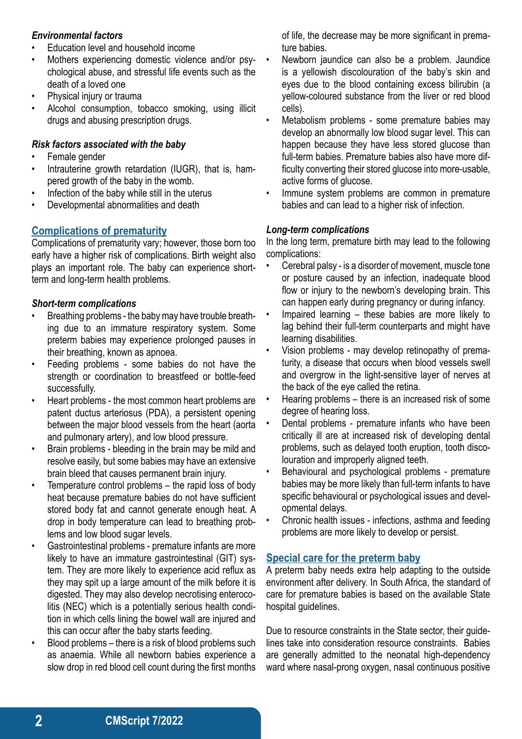#### *Environmental factors*

- Education level and household income
- Mothers experiencing domestic violence and/or psychological abuse, and stressful life events such as the death of a loved one
- Physical injury or trauma
- Alcohol consumption, tobacco smoking, using illicit drugs and abusing prescription drugs.

## *Risk factors associated with the baby*

- Female gender
- Intrauterine growth retardation (IUGR), that is, hampered growth of the baby in the womb.
- Infection of the baby while still in the uterus
- Developmental abnormalities and death

# **Complications of prematurity**

Complications of prematurity vary; however, those born too early have a higher risk of complications. Birth weight also plays an important role. The baby can experience shortterm and long-term health problems.

## *Short-term complications*

- Breathing problems the baby may have trouble breathing due to an immature respiratory system. Some preterm babies may experience prolonged pauses in their breathing, known as apnoea.
- Feeding problems some babies do not have the strength or coordination to breastfeed or bottle-feed successfully.
- Heart problems the most common heart problems are patent ductus arteriosus (PDA), a persistent opening between the major blood vessels from the heart (aorta and pulmonary artery), and low blood pressure.
- Brain problems bleeding in the brain may be mild and resolve easily, but some babies may have an extensive brain bleed that causes permanent brain injury.
- Temperature control problems the rapid loss of body heat because premature babies do not have sufficient stored body fat and cannot generate enough heat. A drop in body temperature can lead to breathing problems and low blood sugar levels.
- Gastrointestinal problems premature infants are more likely to have an immature gastrointestinal (GIT) system. They are more likely to experience acid reflux as they may spit up a large amount of the milk before it is digested. They may also develop necrotising enterocolitis (NEC) which is a potentially serious health condition in which cells lining the bowel wall are injured and this can occur after the baby starts feeding.
- Blood problems there is a risk of blood problems such as anaemia. While all newborn babies experience a slow drop in red blood cell count during the first months

of life, the decrease may be more significant in premature babies.

- Newborn jaundice can also be a problem. Jaundice is a yellowish discolouration of the baby's skin and eyes due to the blood containing excess bilirubin (a yellow-coloured substance from the liver or red blood cells).
- Metabolism problems some premature babies may develop an abnormally low blood sugar level. This can happen because they have less stored glucose than full-term babies. Premature babies also have more difficulty converting their stored glucose into more-usable, active forms of glucose.
- Immune system problems are common in premature babies and can lead to a higher risk of infection.

# *Long-term complications*

In the long term, premature birth may lead to the following complications:

- Cerebral palsy is a disorder of movement, muscle tone or posture caused by an infection, inadequate blood flow or injury to the newborn's developing brain. This can happen early during pregnancy or during infancy.
- Impaired learning these babies are more likely to lag behind their full-term counterparts and might have learning disabilities.
- Vision problems may develop retinopathy of prematurity, a disease that occurs when blood vessels swell and overgrow in the light-sensitive layer of nerves at the back of the eye called the retina.
- Hearing problems there is an increased risk of some degree of hearing loss.
- Dental problems premature infants who have been critically ill are at increased risk of developing dental problems, such as delayed tooth eruption, tooth discolouration and improperly aligned teeth.
- Behavioural and psychological problems premature babies may be more likely than full-term infants to have specific behavioural or psychological issues and developmental delays.
- Chronic health issues infections, asthma and feeding problems are more likely to develop or persist.

# **Special care for the preterm baby**

A preterm baby needs extra help adapting to the outside environment after delivery. In South Africa, the standard of care for premature babies is based on the available State hospital guidelines.

Due to resource constraints in the State sector, their guidelines take into consideration resource constraints. Babies are generally admitted to the neonatal high-dependency ward where nasal-prong oxygen, nasal continuous positive